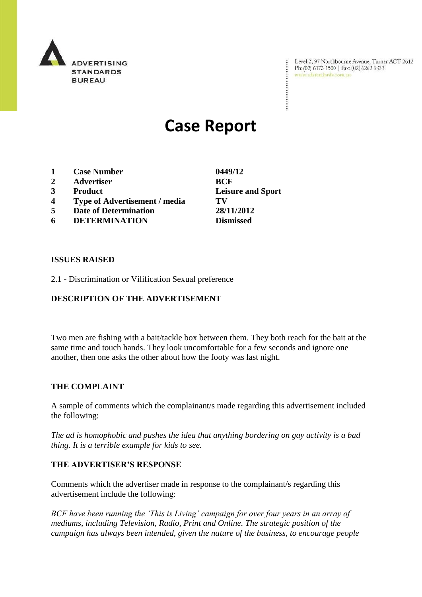

Level 2, 97 Northbourne Avenue, Turner ACT 2612<br>Ph: (02) 6173 1500 | Fax: (02) 6262 9833<br>www.adstandards.com.au

# **Case Report**

- **1 Case Number 0449/12**
- **2 Advertiser BCF**
- **3 Product Leisure and Sport**
- **4 Type of Advertisement / media TV**
- **5 Date of Determination 28/11/2012**
- **6 DETERMINATION Dismissed**

### **ISSUES RAISED**

2.1 - Discrimination or Vilification Sexual preference

## **DESCRIPTION OF THE ADVERTISEMENT**

Two men are fishing with a bait/tackle box between them. They both reach for the bait at the same time and touch hands. They look uncomfortable for a few seconds and ignore one another, then one asks the other about how the footy was last night.

#### **THE COMPLAINT**

A sample of comments which the complainant/s made regarding this advertisement included the following:

*The ad is homophobic and pushes the idea that anything bordering on gay activity is a bad thing. It is a terrible example for kids to see.*

#### **THE ADVERTISER'S RESPONSE**

Comments which the advertiser made in response to the complainant/s regarding this advertisement include the following:

*BCF have been running the 'This is Living' campaign for over four years in an array of mediums, including Television, Radio, Print and Online. The strategic position of the campaign has always been intended, given the nature of the business, to encourage people*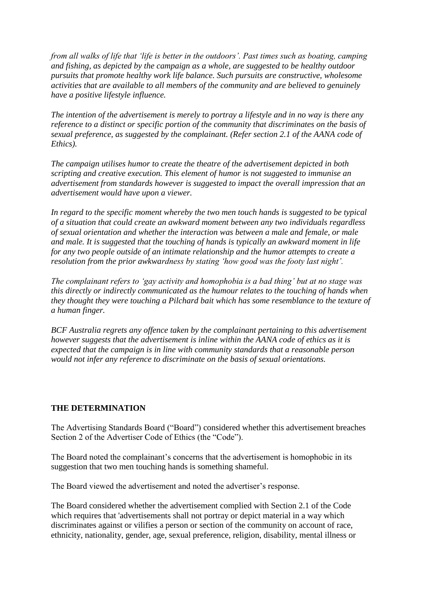*from all walks of life that 'life is better in the outdoors'. Past times such as boating, camping and fishing, as depicted by the campaign as a whole, are suggested to be healthy outdoor pursuits that promote healthy work life balance. Such pursuits are constructive, wholesome activities that are available to all members of the community and are believed to genuinely have a positive lifestyle influence.*

*The intention of the advertisement is merely to portray a lifestyle and in no way is there any reference to a distinct or specific portion of the community that discriminates on the basis of sexual preference, as suggested by the complainant. (Refer section 2.1 of the AANA code of Ethics).*

*The campaign utilises humor to create the theatre of the advertisement depicted in both scripting and creative execution. This element of humor is not suggested to immunise an advertisement from standards however is suggested to impact the overall impression that an advertisement would have upon a viewer.*

*In regard to the specific moment whereby the two men touch hands is suggested to be typical of a situation that could create an awkward moment between any two individuals regardless of sexual orientation and whether the interaction was between a male and female, or male and male. It is suggested that the touching of hands is typically an awkward moment in life for any two people outside of an intimate relationship and the humor attempts to create a resolution from the prior awkwardness by stating 'how good was the footy last night'.*

*The complainant refers to 'gay activity and homophobia is a bad thing' but at no stage was this directly or indirectly communicated as the humour relates to the touching of hands when they thought they were touching a Pilchard bait which has some resemblance to the texture of a human finger.*

*BCF Australia regrets any offence taken by the complainant pertaining to this advertisement however suggests that the advertisement is inline within the AANA code of ethics as it is expected that the campaign is in line with community standards that a reasonable person would not infer any reference to discriminate on the basis of sexual orientations.*

## **THE DETERMINATION**

The Advertising Standards Board ("Board") considered whether this advertisement breaches Section 2 of the Advertiser Code of Ethics (the "Code").

The Board noted the complainant's concerns that the advertisement is homophobic in its suggestion that two men touching hands is something shameful.

The Board viewed the advertisement and noted the advertiser's response.

The Board considered whether the advertisement complied with Section 2.1 of the Code which requires that 'advertisements shall not portray or depict material in a way which discriminates against or vilifies a person or section of the community on account of race, ethnicity, nationality, gender, age, sexual preference, religion, disability, mental illness or